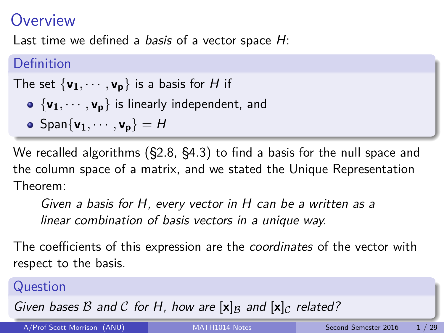### <span id="page-0-0"></span>**Overview**

Last time we defined a basis of a vector space  $H$ :

### Definition

The set  $\{v_1, \dots, v_p\}$  is a basis for H if

- $\bullet$  { $\mathsf{v}_1, \cdots, \mathsf{v}_p$ } is linearly independent, and
- $\bullet$  Span{ $\mathbf{v}_1, \cdots, \mathbf{v}_p$ } = H

We recalled algorithms (§2.8, §4.3) to find a basis for the null space and the column space of a matrix, and we stated the Unique Representation Theorem:

Given a basis for H, every vector in H can be a written as a linear combination of basis vectors in a unique way.

The coefficients of this expression are the *coordinates* of the vector with respect to the basis.

### Question

Given bases B and C for H, how are  $[x]_B$  and  $[x]_C$  related?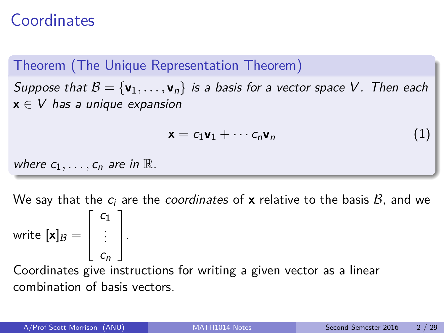### **Coordinates**

Theorem (The Unique Representation Theorem) Suppose that  $B = {\bf v}_1, \ldots, {\bf v}_n$  is a basis for a vector space V. Then each **x** ∈ V has a unique expansion

$$
\mathbf{x} = c_1 \mathbf{v}_1 + \cdots c_n \mathbf{v}_n \tag{1}
$$

where  $c_1, \ldots, c_n$  are in  $\mathbb R$ .

We say that the  $c_i$  are the coordinates of **x** relative to the basis  $B$ , and we write  $[\mathsf{x}]_\mathcal{B} =$  $\sqrt{ }$  $\overline{\phantom{a}}$  $c_1$ . . .  $c_n$ 1  $\vert \cdot$ Coordinates give instructions for writing a given vector as a linear

combination of basis vectors.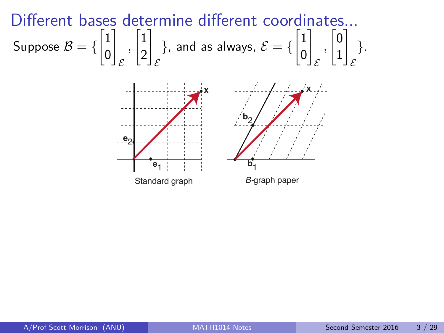Different bases determine different coordinates...  
Suppose 
$$
B = \{\begin{bmatrix} 1 \\ 0 \end{bmatrix}_{\mathcal{E}}, \begin{bmatrix} 1 \\ 2 \end{bmatrix}_{\mathcal{E}}\}
$$
, and as always,  $\mathcal{E} = \{\begin{bmatrix} 1 \\ 0 \end{bmatrix}_{\mathcal{E}}, \begin{bmatrix} 0 \\ 1 \end{bmatrix}_{\mathcal{E}}\}$ .

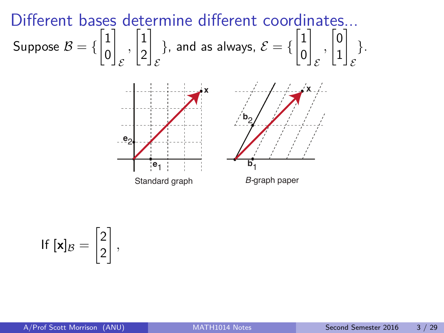Different bases determine different coordinates...  
Suppose 
$$
B = \{\begin{bmatrix} 1 \\ 0 \end{bmatrix}_{\mathcal{E}}, \begin{bmatrix} 1 \\ 2 \end{bmatrix}_{\mathcal{E}}\}
$$
, and as always,  $\mathcal{E} = \{\begin{bmatrix} 1 \\ 0 \end{bmatrix}_{\mathcal{E}}, \begin{bmatrix} 0 \\ 1 \end{bmatrix}_{\mathcal{E}}\}$ .



$$
\text{If } [\textbf{x}]_{\mathcal{B}} = \begin{bmatrix} 2 \\ 2 \end{bmatrix},
$$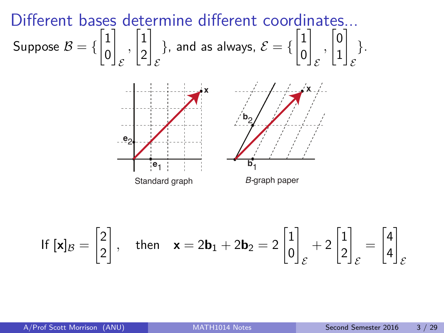Different bases determine different coordinates...  
Suppose 
$$
B = \{\begin{bmatrix} 1 \\ 0 \end{bmatrix}_{\mathcal{E}}, \begin{bmatrix} 1 \\ 2 \end{bmatrix}_{\mathcal{E}}\}
$$
, and as always,  $\mathcal{E} = \{\begin{bmatrix} 1 \\ 0 \end{bmatrix}_{\mathcal{E}}, \begin{bmatrix} 0 \\ 1 \end{bmatrix}_{\mathcal{E}}\}$ .



$$
\mathsf{If } [\mathbf{x}]_{\mathcal{B}} = \begin{bmatrix} 2 \\ 2 \end{bmatrix}, \quad \text{then} \quad \mathbf{x} = 2\mathbf{b}_1 + 2\mathbf{b}_2 = 2 \begin{bmatrix} 1 \\ 0 \end{bmatrix}_{\mathcal{E}} + 2 \begin{bmatrix} 1 \\ 2 \end{bmatrix}_{\mathcal{E}} = \begin{bmatrix} 4 \\ 4 \end{bmatrix}_{\mathcal{E}}
$$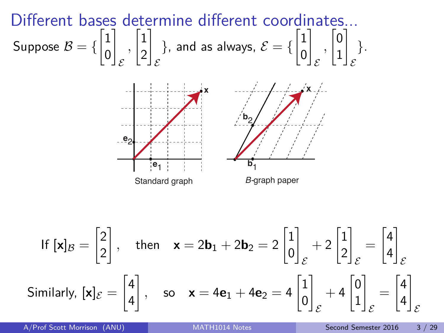Different bases determine different coordinates...  
Suppose 
$$
B = \{\begin{bmatrix} 1 \\ 0 \end{bmatrix}_{\mathcal{E}}, \begin{bmatrix} 1 \\ 2 \end{bmatrix}_{\mathcal{E}}\}
$$
, and as always,  $\mathcal{E} = \{\begin{bmatrix} 1 \\ 0 \end{bmatrix}_{\mathcal{E}}, \begin{bmatrix} 0 \\ 1 \end{bmatrix}_{\mathcal{E}}\}$ .



$$
\text{If } [\mathbf{x}]_B = \begin{bmatrix} 2 \\ 2 \end{bmatrix}, \quad \text{then} \quad \mathbf{x} = 2\mathbf{b}_1 + 2\mathbf{b}_2 = 2 \begin{bmatrix} 1 \\ 0 \end{bmatrix}_{\mathcal{E}} + 2 \begin{bmatrix} 1 \\ 2 \end{bmatrix}_{\mathcal{E}} = \begin{bmatrix} 4 \\ 4 \end{bmatrix}_{\mathcal{E}}
$$
\nSimilarly,  $[\mathbf{x}]_{\mathcal{E}} = \begin{bmatrix} 4 \\ 4 \end{bmatrix}$ , so  $\mathbf{x} = 4\mathbf{e}_1 + 4\mathbf{e}_2 = 4 \begin{bmatrix} 1 \\ 0 \end{bmatrix}_{\mathcal{E}} + 4 \begin{bmatrix} 0 \\ 1 \end{bmatrix}_{\mathcal{E}} = \begin{bmatrix} 4 \\ 4 \end{bmatrix}_{\mathcal{E}}$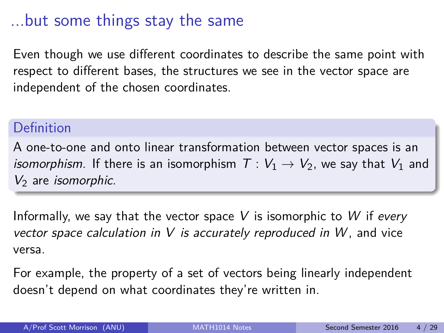### ...but some things stay the same

Even though we use different coordinates to describe the same point with respect to different bases, the structures we see in the vector space are independent of the chosen coordinates.

#### Definition

A one-to-one and onto linear transformation between vector spaces is an *isomorphism*. If there is an isomorphism  $T: V_1 \rightarrow V_2$ , we say that  $V_1$  and  $V_2$  are *isomorphic*.

Informally, we say that the vector space V is isomorphic to W if every vector space calculation in  $V$  is accurately reproduced in  $W$ , and vice versa.

For example, the property of a set of vectors being linearly independent doesn't depend on what coordinates they're written in.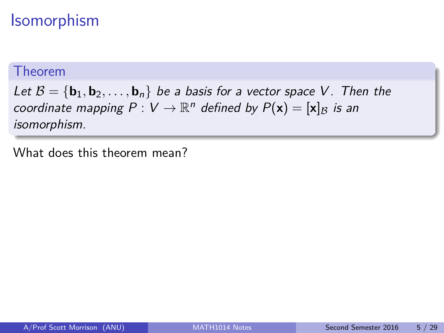# Isomorphism

#### Theorem

Let  $B = {\bf{b}}_1, {\bf{b}}_2, \ldots, {\bf{b}}_n$  be a basis for a vector space V. Then the coordinate mapping  $P: V \to \mathbb{R}^n$  defined by  $P(\mathbf{x}) = [\mathbf{x}]_B$  is an isomorphism.

What does this theorem mean?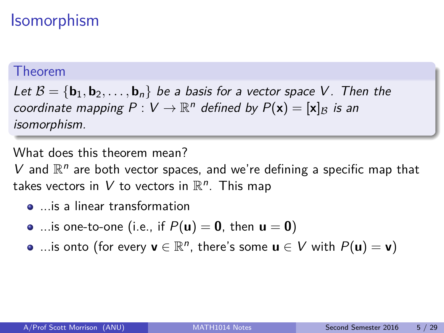# Isomorphism

#### Theorem

Let  $B = \{b_1, b_2, \ldots, b_n\}$  be a basis for a vector space V. Then the coordinate mapping  $P: V \to \mathbb{R}^n$  defined by  $P(\mathbf{x}) = [\mathbf{x}]_B$  is an isomorphism.

What does this theorem mean?

 $V$  and  $\mathbb{R}^n$  are both vector spaces, and we're defining a specific map that takes vectors in  $V$  to vectors in  $\mathbb{R}^n$ . This map

- ...is a linear transformation
- $\bullet$  ... is one-to-one (i.e., if  $P(\mathbf{u}) = \mathbf{0}$ , then  $\mathbf{u} = \mathbf{0}$ )
- ...is onto (for every  $\mathbf{v} \in \mathbb{R}^n$ , there's some  $\mathbf{u} \in V$  with  $P(\mathbf{u}) = \mathbf{v}$ )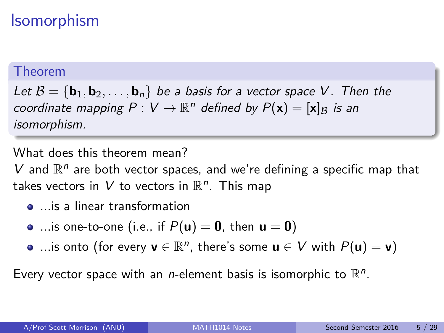# Isomorphism

#### Theorem

Let  $B = \{b_1, b_2, \ldots, b_n\}$  be a basis for a vector space V. Then the coordinate mapping  $P: V \to \mathbb{R}^n$  defined by  $P(\mathbf{x}) = [\mathbf{x}]_B$  is an isomorphism.

What does this theorem mean?

 $V$  and  $\mathbb{R}^n$  are both vector spaces, and we're defining a specific map that takes vectors in  $V$  to vectors in  $\mathbb{R}^n$ . This map

- ...is a linear transformation
- ...is one-to-one (i.e., if  $P(u) = 0$ , then  $u = 0$ )
- ...is onto (for every  $\mathbf{v} \in \mathbb{R}^n$ , there's some  $\mathbf{u} \in V$  with  $P(\mathbf{u}) = \mathbf{v}$ )

Every vector space with an *n*-element basis is isomorphic to  $\mathbb{R}^n$ .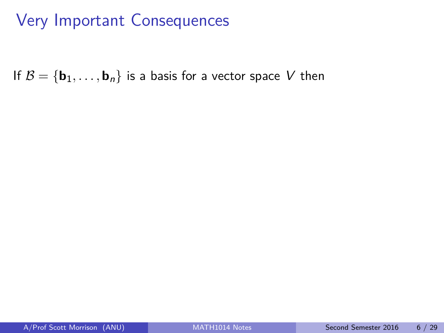If  $B = {\bf{b}}_1, \ldots, {\bf{b}}_n$  is a basis for a vector space V then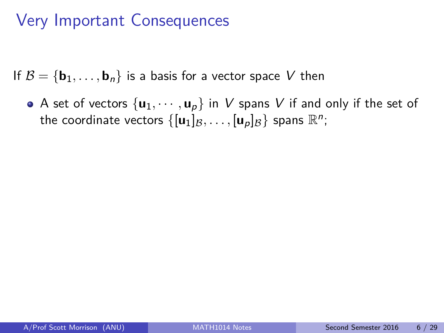If  $B = \{b_1, \ldots, b_n\}$  is a basis for a vector space V then

• A set of vectors  $\{u_1, \dots, u_p\}$  in V spans V if and only if the set of the coordinate vectors  $\{[\mathbf{u}_1]_{\mathcal{B}},\ldots,[\mathbf{u}_\rho]_{\mathcal{B}}\}$  spans  $\mathbb{R}^n;$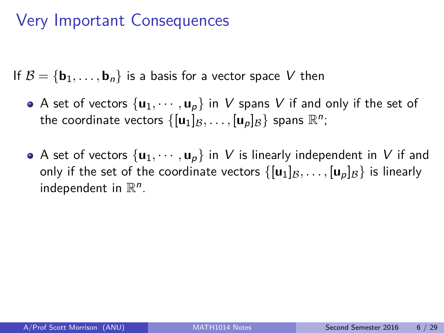If  $\mathcal{B} = \{b_1, \ldots, b_n\}$  is a basis for a vector space V then

- A set of vectors  $\{u_1, \dots, u_p\}$  in V spans V if and only if the set of the coordinate vectors  $\{[\mathbf{u}_1]_{\mathcal{B}},\ldots,[\mathbf{u}_\rho]_{\mathcal{B}}\}$  spans  $\mathbb{R}^n;$
- A set of vectors  $\{u_1, \dots, u_p\}$  in V is linearly independent in V if and only if the set of the coordinate vectors  $\{[\mathbf{u}_1]_B, \ldots, [\mathbf{u}_p]_B\}$  is linearly independent in  $\mathbb{R}^n$ .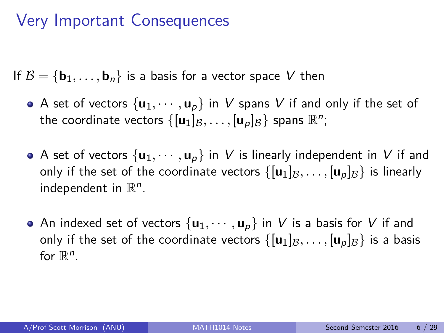If  $\mathcal{B} = \{b_1, \ldots, b_n\}$  is a basis for a vector space V then

- A set of vectors  $\{u_1, \dots, u_p\}$  in V spans V if and only if the set of the coordinate vectors  $\{[\mathbf{u}_1]_{\mathcal{B}},\ldots,[\mathbf{u}_\rho]_{\mathcal{B}}\}$  spans  $\mathbb{R}^n;$
- A set of vectors  $\{u_1, \dots, u_p\}$  in V is linearly independent in V if and only if the set of the coordinate vectors  $\{[\mathbf{u}_1]_B, \ldots, [\mathbf{u}_p]_B\}$  is linearly independent in  $\mathbb{R}^n$ .
- An indexed set of vectors  $\{u_1, \dots, u_p\}$  in V is a basis for V if and only if the set of the coordinate vectors  $\{[\mathbf{u}_1]_B, \ldots, [\mathbf{u}_p]_B\}$  is a basis for  $\mathbb{R}^n$ .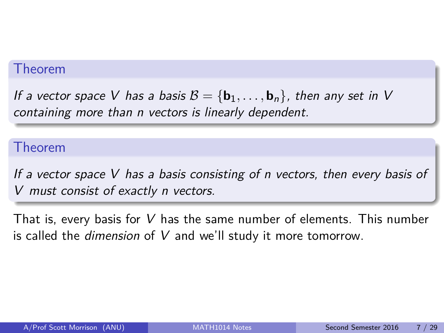#### Theorem

If a vector space V has a basis  $\mathcal{B} = {\bf b}_1, \ldots, {\bf b}_n$ , then any set in V containing more than n vectors is linearly dependent.

#### Theorem

If a vector space V has a basis consisting of n vectors, then every basis of V must consist of exactly n vectors.

That is, every basis for V has the same number of elements. This number is called the *dimension* of  $V$  and we'll study it more tomorrow.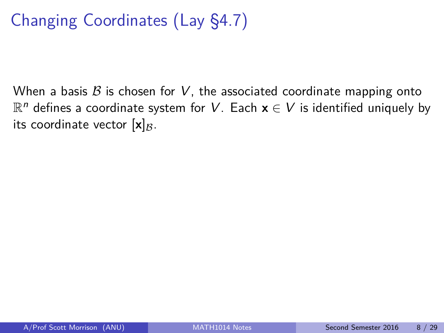# Changing Coordinates (Lay §4.7)

When a basis  $\beta$  is chosen for V, the associated coordinate mapping onto  $\mathbb{R}^n$  defines a coordinate system for  $V.$  Each  $\mathbf{x} \in V$  is identified uniquely by its coordinate vector  $[x]_B$ .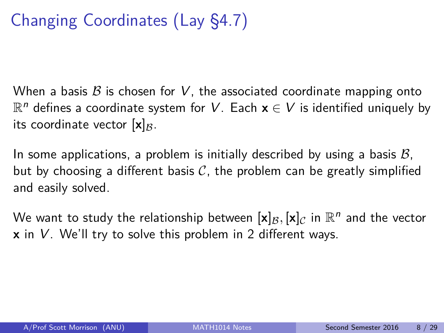# Changing Coordinates (Lay §4.7)

When a basis  $\beta$  is chosen for V, the associated coordinate mapping onto  $\mathbb{R}^n$  defines a coordinate system for  $V.$  Each  $\mathbf{x} \in V$  is identified uniquely by its coordinate vector  $[x]_B$ .

In some applications, a problem is initially described by using a basis  $\mathcal{B}$ , but by choosing a different basis  $C$ , the problem can be greatly simplified and easily solved.

We want to study the relationship between  $[\mathbf{x}]_{\mathcal{B}}, [\mathbf{x}]_{\mathcal{C}}$  in  $\mathbb{R}^n$  and the vector **x** in V. We'll try to solve this problem in 2 different ways.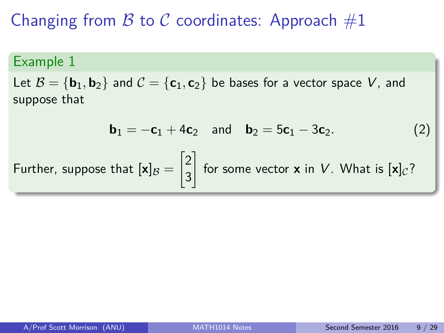# Changing from  $\beta$  to  $\beta$  coordinates: Approach  $\#1$

#### Example 1

Let  $B = {\bf{b}}_1, {\bf{b}}_2$  and  $C = {\bf{c}}_1, {\bf{c}}_2$  be bases for a vector space V, and suppose that

<span id="page-17-1"></span><span id="page-17-0"></span>
$$
\mathbf{b}_1 = -\mathbf{c}_1 + 4\mathbf{c}_2 \quad \text{and} \quad \mathbf{b}_2 = 5\mathbf{c}_1 - 3\mathbf{c}_2. \tag{2}
$$
\nFurther, suppose that  $[\mathbf{x}]_B = \begin{bmatrix} 2 \\ 3 \end{bmatrix}$  for some vector  $\mathbf{x}$  in  $V$ . What is  $[\mathbf{x}]_C$ ?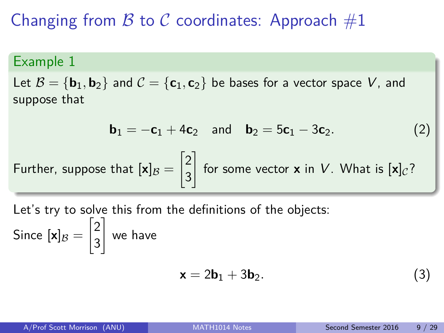# Changing from B to C coordinates: Approach  $#1$

#### Example 1

Let  $\mathcal{B} = {\mathbf{b}_1, \mathbf{b}_2}$  and  $\mathcal{C} = {\mathbf{c}_1, \mathbf{c}_2}$  be bases for a vector space V, and suppose that

$$
\mathbf{b}_1 = -\mathbf{c}_1 + 4\mathbf{c}_2 \quad \text{and} \quad \mathbf{b}_2 = 5\mathbf{c}_1 - 3\mathbf{c}_2. \tag{2}
$$
\nFurther, suppose that  $[\mathbf{x}]_B = \begin{bmatrix} 2 \\ 3 \end{bmatrix}$  for some vector  $\mathbf{x}$  in  $V$ . What is  $[\mathbf{x}]_C$ ?

Let's try to solve this from the definitions of the objects: Since  $[\mathsf{x}]_\mathcal{B} =$  $\sqrt{2}$ 3 1 we have

$$
\mathbf{x} = 2\mathbf{b}_1 + 3\mathbf{b}_2. \tag{3}
$$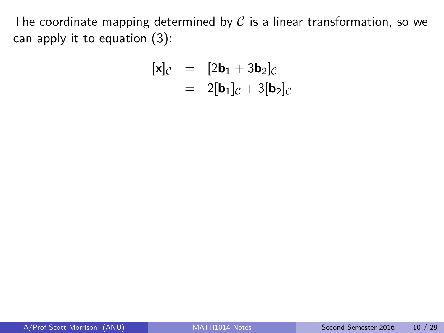The coordinate mapping determined by  $C$  is a linear transformation, so we can apply it to equation [\(3\)](#page-17-0):

<span id="page-19-0"></span>
$$
\begin{array}{rcl} [\mathbf{x}]_{\mathcal{C}} & = & [2\mathbf{b}_1 + 3\mathbf{b}_2]_{\mathcal{C}} \\ & = & 2[\mathbf{b}_1]_{\mathcal{C}} + 3[\mathbf{b}_2]_{\mathcal{C}} \end{array}
$$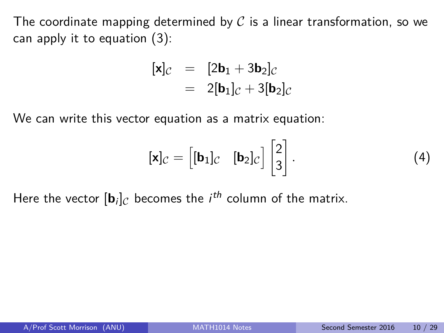The coordinate mapping determined by  $\mathcal C$  is a linear transformation, so we can apply it to equation [\(3\)](#page-17-0):

$$
\begin{array}{rcl} [\mathbf{x}]_{\mathcal{C}} & = & [2\mathbf{b}_1 + 3\mathbf{b}_2]_{\mathcal{C}} \\ & = & 2[\mathbf{b}_1]_{\mathcal{C}} + 3[\mathbf{b}_2]_{\mathcal{C}} \end{array}
$$

We can write this vector equation as a matrix equation:

$$
[\mathbf{x}]_{\mathcal{C}} = \begin{bmatrix} [\mathbf{b}_1]_{\mathcal{C}} & [\mathbf{b}_2]_{\mathcal{C}} \end{bmatrix} \begin{bmatrix} 2 \\ 3 \end{bmatrix}.
$$
 (4)

Here the vector  $[\mathbf{b}_i]_C$  becomes the  $i^{th}$  column of the matrix.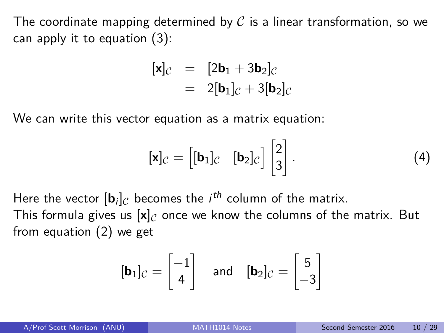The coordinate mapping determined by  $\mathcal C$  is a linear transformation, so we can apply it to equation [\(3\)](#page-17-0):

$$
\begin{array}{rcl} [\mathbf{x}]_{\mathcal{C}} & = & [2\mathbf{b}_1 + 3\mathbf{b}_2]_{\mathcal{C}} \\ & = & 2[\mathbf{b}_1]_{\mathcal{C}} + 3[\mathbf{b}_2]_{\mathcal{C}} \end{array}
$$

We can write this vector equation as a matrix equation:

$$
[\mathbf{x}]_{\mathcal{C}} = \begin{bmatrix} [\mathbf{b}_1]_{\mathcal{C}} & [\mathbf{b}_2]_{\mathcal{C}} \end{bmatrix} \begin{bmatrix} 2 \\ 3 \end{bmatrix}.
$$
 (4)

Here the vector  $[\mathbf{b}_i]_C$  becomes the  $i^{th}$  column of the matrix. This formula gives us  $[x]_C$  once we know the columns of the matrix. But from equation [\(2\)](#page-17-1) we get

$$
[\mathbf{b}_1]_C = \begin{bmatrix} -1 \\ 4 \end{bmatrix} \quad \text{and} \quad [\mathbf{b}_2]_C = \begin{bmatrix} 5 \\ -3 \end{bmatrix}
$$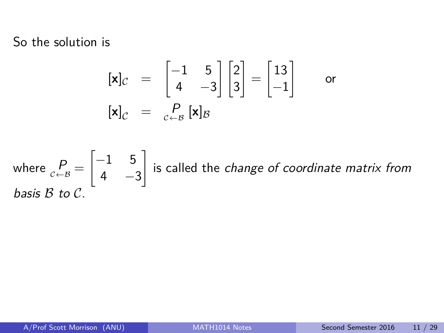So the solution is

$$
\begin{array}{rcl}\n[\mathbf{x}]_C & = & \begin{bmatrix} -1 & 5 \\ 4 & -3 \end{bmatrix} \begin{bmatrix} 2 \\ 3 \end{bmatrix} = \begin{bmatrix} 13 \\ -1 \end{bmatrix} \qquad \text{or} \\
[\mathbf{x}]_C & = & \begin{bmatrix} P \\ c + B \end{bmatrix} \mathbf{x}]_B\n\end{array}
$$

where 
$$
P_{c \leftarrow B} = \begin{bmatrix} -1 & 5 \\ 4 & -3 \end{bmatrix}
$$
 is called the *change of coordinate matrix from basis B to C*.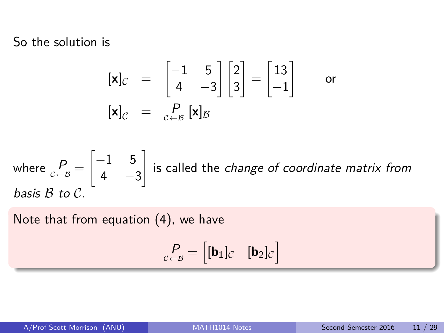So the solution is

$$
\begin{array}{rcl}\n[\mathbf{x}]_C & = & \begin{bmatrix} -1 & 5 \\ 4 & -3 \end{bmatrix} \begin{bmatrix} 2 \\ 3 \end{bmatrix} = \begin{bmatrix} 13 \\ -1 \end{bmatrix} \qquad \text{or} \\
[\mathbf{x}]_C & = & \begin{bmatrix} P \\ C \end{bmatrix} \mathbf{x} \end{array}
$$

where 
$$
P_{c \leftarrow B} = \begin{bmatrix} -1 & 5 \\ 4 & -3 \end{bmatrix}
$$
 is called the *change of coordinate matrix from basis B to C*.

Note that from equation [\(4\)](#page-19-0), we have

$$
{}_{c \leftarrow B}^{\mathcal{P}} = \begin{bmatrix} [\mathbf{b}_1]_c & [\mathbf{b}_2]_c \end{bmatrix}
$$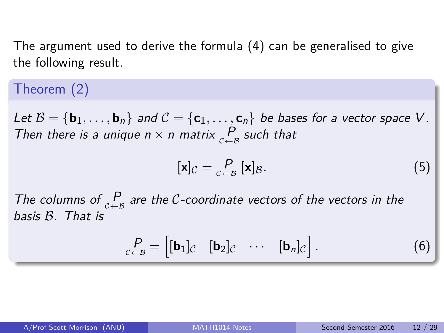The argument used to derive the formula [\(4\)](#page-19-0) can be generalised to give the following result.

### Theorem (2)

<span id="page-24-0"></span>Let  $\mathcal{B} = {\mathbf{b}_1, \ldots, \mathbf{b}_n}$  and  $\mathcal{C} = {\mathbf{c}_1, \ldots, \mathbf{c}_n}$  be bases for a vector space V. Then there is a unique  $n \times n$  matrix  $\mathop{P}\limits_{c \leftarrow B}$  such that

$$
[\mathbf{x}]_{\mathcal{C}} = \underset{c \leftarrow B}{P} [\mathbf{x}]_{\mathcal{B}}.\tag{5}
$$

The columns of  $P_{\text{c}-\text{B}}$  are the C-coordinate vectors of the vectors in the basis B. That is

$$
P_{c \leftarrow B} = \begin{bmatrix} [\mathbf{b}_1]_c & [\mathbf{b}_2]_c & \cdots & [\mathbf{b}_n]_c \end{bmatrix} . \tag{6}
$$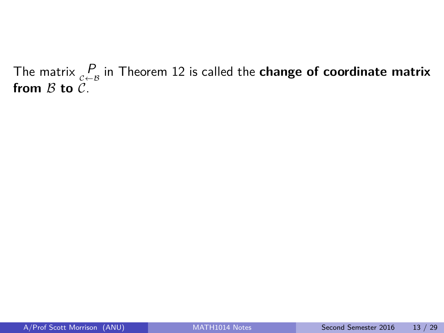The matrix  $\mathop{P}\limits_{c \leftarrow B}$  in Theorem [12](#page-24-0) is called the  $\boldsymbol{\epsilon}$  change of  $\boldsymbol{\epsilon}$  coordinate matrix from  $B$  to  $C$ .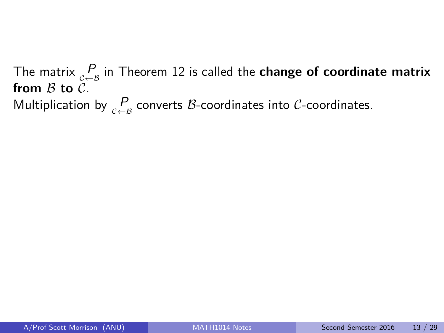The matrix  $\mathop{P}\limits_{c \leftarrow B}$  in Theorem [12](#page-24-0) is called the  $\boldsymbol{\epsilon}$  change of  $\boldsymbol{\epsilon}$  coordinate matrix from  $B$  to  $C$ . Multiplication by  $P\atop_{\mathcal{C}\leftarrow\mathcal{B}}$  converts  $\mathcal{B}\textrm{-coordinates}$  into  $\mathcal{C}\textrm{-coordinates}.$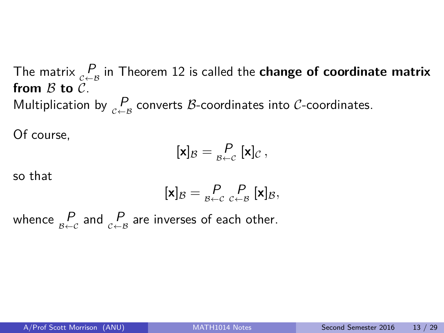The matrix  $\mathop{P}\limits_{c \leftarrow B}$  in Theorem [12](#page-24-0) is called the  $\boldsymbol{\epsilon}$  change of  $\boldsymbol{\epsilon}$  coordinate matrix from  $B$  to  $C$ . Multiplication by  $P\atop_{\mathcal{C}\leftarrow\mathcal{B}}$  converts  $\mathcal{B}\textrm{-coordinates}$  into  $\mathcal{C}\textrm{-coordinates}.$ 

Of course,

$$
[\mathbf{x}]_{\mathcal{B}} = \underset{\beta \leftarrow \mathcal{C}}{\mathcal{P}} [\mathbf{x}]_{\mathcal{C}},
$$

so that

$$
[\mathbf{x}]_{\mathcal{B}} = \underset{\mathcal{B}\leftarrow\mathcal{C}}{\mathcal{P}} \underset{\mathcal{C}\leftarrow\mathcal{B}}{\mathcal{P}} [\mathbf{x}]_{\mathcal{B}},
$$

whence  $\frac{P}{\varepsilon + c}$  and  $\frac{P}{c + s}$  are inverses of each other.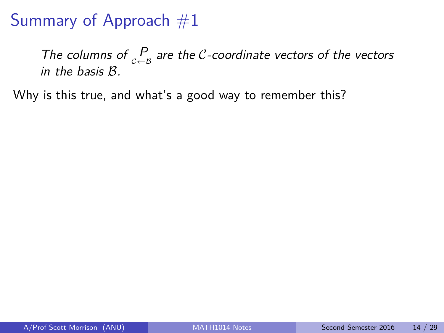The columns of  $\binom{P}{c+B}$  are the C-coordinate vectors of the vectors in the basis B.

Why is this true, and what's a good way to remember this?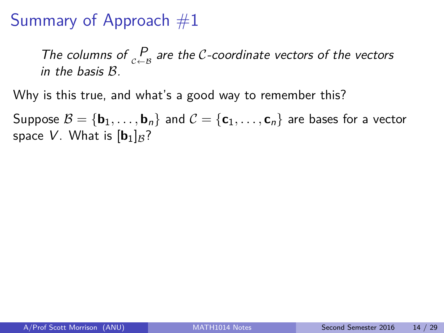The columns of  $\binom{P}{c+B}$  are the C-coordinate vectors of the vectors in the basis B.

Why is this true, and what's a good way to remember this?

Suppose  $\mathcal{B} = \{b_1, \ldots, b_n\}$  and  $\mathcal{C} = \{c_1, \ldots, c_n\}$  are bases for a vector space V. What is  $[b_1]_B$ ?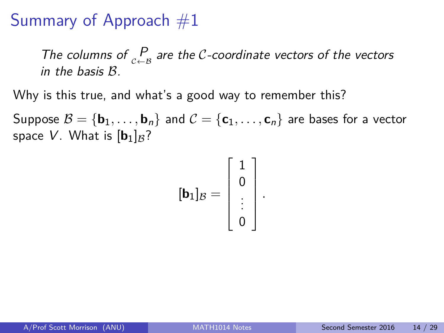The columns of  $\binom{P}{c+B}$  are the C-coordinate vectors of the vectors in the basis B.

Why is this true, and what's a good way to remember this?

Suppose  $\mathcal{B} = \{b_1, \ldots, b_n\}$  and  $\mathcal{C} = \{c_1, \ldots, c_n\}$  are bases for a vector space V. What is  $[b_1]_B$ ?

$$
[\mathbf{b}_1]_{\mathcal{B}} = \left[\begin{array}{c}1\\0\\ \vdots\\0\end{array}\right].
$$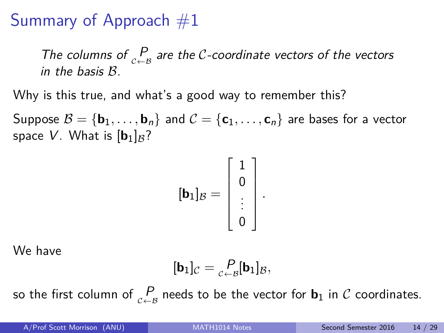The columns of  $\binom{P}{c+B}$  are the C-coordinate vectors of the vectors in the basis B.

Why is this true, and what's a good way to remember this?

Suppose  $\mathcal{B} = \{\mathbf{b}_1, \ldots, \mathbf{b}_n\}$  and  $\mathcal{C} = \{\mathbf{c}_1, \ldots, \mathbf{c}_n\}$  are bases for a vector space V. What is  $[b_1]_B$ ?

$$
[\mathbf{b}_1]_{\mathcal{B}} = \left[\begin{array}{c}1\\0\\ \vdots\\0\end{array}\right].
$$

We have

$$
[\mathbf{b}_1]_{\mathcal{C}} = \underset{\mathcal{C} \leftarrow \mathcal{B}}{\mathcal{P}}[\mathbf{b}_1]_{\mathcal{B}},
$$

so the first column of  $\mathop{P}\limits_{c \leftarrow B}$  needs to be the vector for  $\mathbf{b}_1$  in  $\mathop{\mathcal{C}}$  coordinates.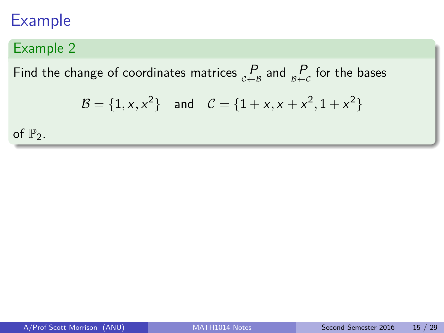### Example 2

Find the change of coordinates matrices  $\frac{P}{c-a}$  and  $\frac{P}{B+c}$  for the bases

$$
\mathcal{B} = \{1, x, x^2\} \text{ and } \mathcal{C} = \{1 + x, x + x^2, 1 + x^2\}
$$

of  $\mathbb{P}_2$ .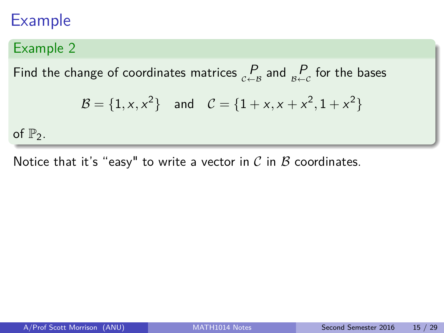### Example 2

Find the change of coordinates matrices  $\frac{P}{c-a}$  and  $\frac{P}{B+c}$  for the bases

$$
\mathcal{B} = \{1, x, x^2\} \text{ and } \mathcal{C} = \{1 + x, x + x^2, 1 + x^2\}
$$

of  $\mathbb{P}_2$ .

Notice that it's "easy" to write a vector in  $\mathcal C$  in  $\mathcal B$  coordinates.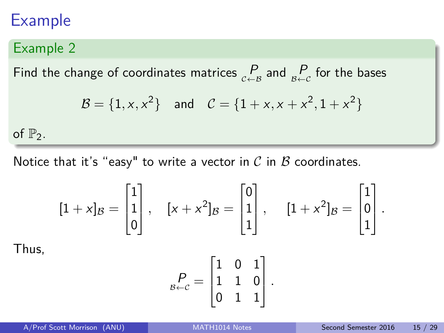### Example 2

Find the change of coordinates matrices  $\frac{P}{c-a}$  and  $\frac{P}{B+c}$  for the bases

$$
\mathcal{B} = \{1, x, x^2\} \quad \text{and} \quad \mathcal{C} = \{1 + x, x + x^2, 1 + x^2\}
$$

of  $\mathbb{P}_2$ .

Thus,

Notice that it's "easy" to write a vector in  $\mathcal C$  in  $\mathcal B$  coordinates.

$$
[1+x]_B = \begin{bmatrix} 1 \\ 1 \\ 0 \end{bmatrix}, \quad [x+x^2]_B = \begin{bmatrix} 0 \\ 1 \\ 1 \end{bmatrix}, \quad [1+x^2]_B = \begin{bmatrix} 1 \\ 0 \\ 1 \end{bmatrix}.
$$

$$
\begin{bmatrix} 1 & 0 & 1 \end{bmatrix}
$$

$$
P_{\beta \leftarrow \mathcal{C}} = \begin{bmatrix} 1 & 0 & 1 \\ 1 & 1 & 0 \\ 0 & 1 & 1 \end{bmatrix}.
$$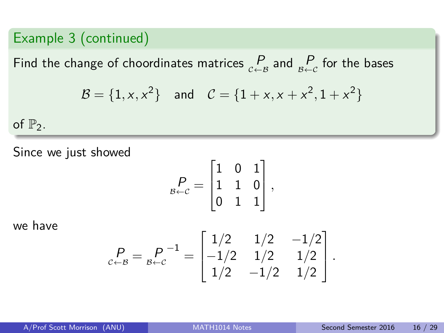#### Example 3 (continued)

Find the change of choordinates matrices  $\frac{P}{c \leftarrow B}$  and  $\frac{P}{B \leftarrow C}$  for the bases

$$
\mathcal{B} = \{1, x, x^2\} \text{ and } \mathcal{C} = \{1 + x, x + x^2, 1 + x^2\}
$$

of  $\mathbb{P}_2$ .

Since we just showed

$$
P_{B \leftarrow C} = \begin{bmatrix} 1 & 0 & 1 \\ 1 & 1 & 0 \\ 0 & 1 & 1 \end{bmatrix},
$$

we have

$$
P_{c \leftarrow B} = P_{c \leftarrow c}^{-1} = \begin{bmatrix} 1/2 & 1/2 & -1/2 \\ -1/2 & 1/2 & 1/2 \\ 1/2 & -1/2 & 1/2 \end{bmatrix}.
$$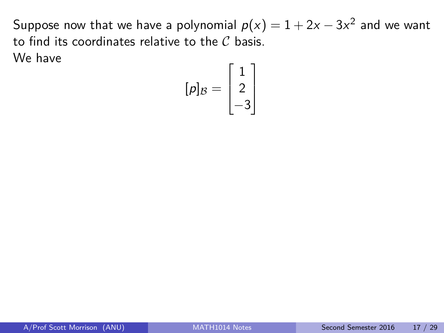$$
[p]_{\mathcal{B}} = \begin{bmatrix} 1 \\ 2 \\ -3 \end{bmatrix}
$$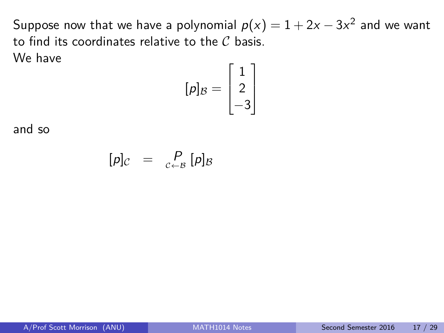$$
[p]_{\mathcal{B}} = \begin{bmatrix} 1 \\ 2 \\ -3 \end{bmatrix}
$$

and so

$$
[p]_{\mathcal{C}} = P_{\mathcal{C}\leftarrow\mathcal{B}} [p]_{\mathcal{B}}
$$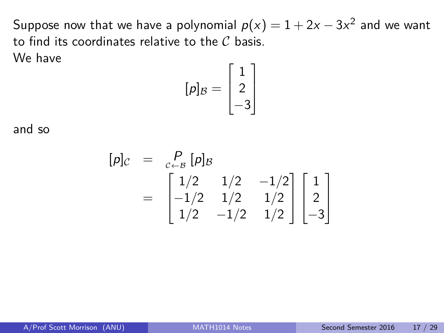$$
[\rho]_{\mathcal{B}} = \begin{bmatrix} 1 \\ 2 \\ -3 \end{bmatrix}
$$

and so

$$
[\rho]_{\mathcal{C}} = \begin{bmatrix} P \\ C & P \\ C \end{bmatrix} [\rho]_{\mathcal{B}}
$$
  
= 
$$
\begin{bmatrix} 1/2 & 1/2 & -1/2 \\ -1/2 & 1/2 & 1/2 \\ 1/2 & -1/2 & 1/2 \end{bmatrix} \begin{bmatrix} 1 \\ 2 \\ -3 \end{bmatrix}
$$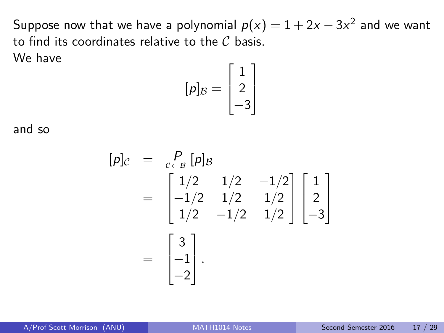$$
[\rho]_{\mathcal{B}} = \begin{bmatrix} 1 \\ 2 \\ -3 \end{bmatrix}
$$

and so

$$
[p]_C = \begin{bmatrix} P \\ C \\ C + B \end{bmatrix} [p]_B
$$
  
= 
$$
\begin{bmatrix} 1/2 & 1/2 & -1/2 \\ -1/2 & 1/2 & 1/2 \\ 1/2 & -1/2 & 1/2 \end{bmatrix} \begin{bmatrix} 1 \\ 2 \\ -3 \end{bmatrix}
$$
  
= 
$$
\begin{bmatrix} 3 \\ -1 \\ -2 \end{bmatrix}.
$$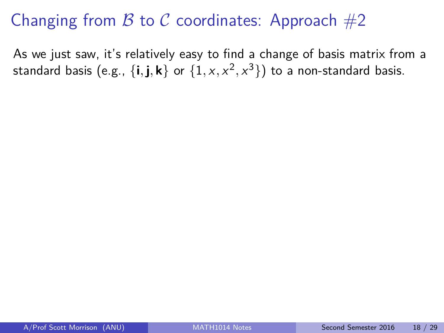# Changing from  $\beta$  to  $\beta$  coordinates: Approach  $\#2$

As we just saw, it's relatively easy to find a change of basis matrix from a standard basis (e.g.,  $\{ {\bf i,j,k} \}$  or  $\{ 1, x, x^2, x^3 \} )$  to a non-standard basis.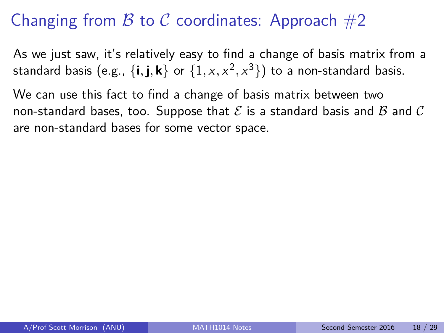# Changing from B to C coordinates: Approach  $#2$

As we just saw, it's relatively easy to find a change of basis matrix from a standard basis (e.g.,  $\{ {\bf i,j,k} \}$  or  $\{ 1, x, x^2, x^3 \} )$  to a non-standard basis.

We can use this fact to find a change of basis matrix between two non-standard bases, too. Suppose that  $\mathcal E$  is a standard basis and  $\mathcal B$  and  $\mathcal C$ are non-standard bases for some vector space.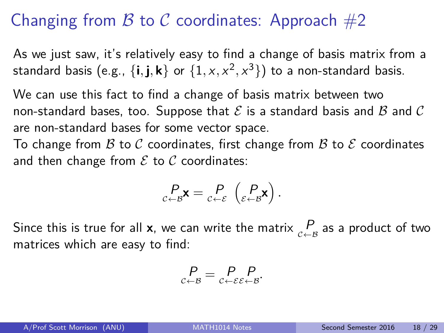# Changing from B to C coordinates: Approach  $#2$

As we just saw, it's relatively easy to find a change of basis matrix from a standard basis (e.g.,  $\{ {\bf i,j,k} \}$  or  $\{ 1, x, x^2, x^3 \} )$  to a non-standard basis.

We can use this fact to find a change of basis matrix between two non-standard bases, too. Suppose that  $\mathcal E$  is a standard basis and  $\mathcal B$  and  $\mathcal C$ are non-standard bases for some vector space.

To change from B to C coordinates, first change from B to E coordinates and then change from  $\mathcal E$  to  $\mathcal C$  coordinates:

$$
\underset{\mathcal{C}\leftarrow\mathcal{B}}{P}\mathbf{x}=\underset{\mathcal{C}\leftarrow\mathcal{E}}{P}\left(\underset{\mathcal{E}\leftarrow\mathcal{B}}{P}\mathbf{x}\right).
$$

Since this is true for all **x**, we can write the matrix  $\mathop{P}\limits_{c \leftarrow B}$  as a product of two matrices which are easy to find:

$$
\mathop{P}\limits_{c\leftarrow\mathcal{B}}=\mathop{P}\limits_{c\leftarrow\mathcal{E}\mathcal{E}\leftarrow\mathcal{B}}\mathop{P}\limits.
$$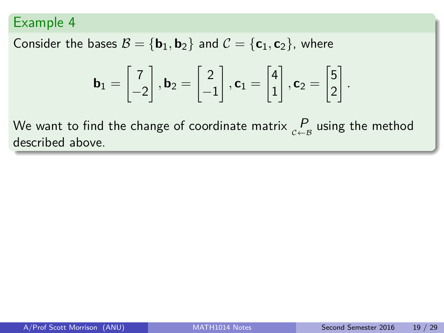Consider the bases  $B = {\bf{b}}_1, {\bf{b}}_2$  and  $C = {\bf{c}}_1, {\bf{c}}_2$ , where

$$
\mathbf{b}_1 = \begin{bmatrix} 7 \\ -2 \end{bmatrix}, \mathbf{b}_2 = \begin{bmatrix} 2 \\ -1 \end{bmatrix}, \mathbf{c}_1 = \begin{bmatrix} 4 \\ 1 \end{bmatrix}, \mathbf{c}_2 = \begin{bmatrix} 5 \\ 2 \end{bmatrix}.
$$

We want to find the change of coordinate matrix  $\mathop{P}\limits_{c \leftarrow B}$  using the method described above.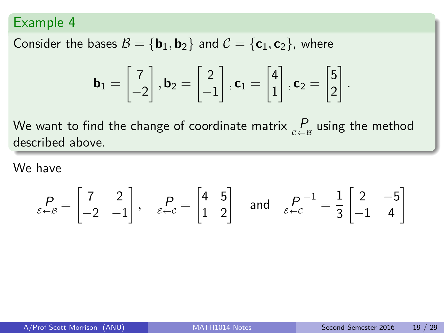Consider the bases  $B = {\bf{b}}_1, {\bf{b}}_2$  and  $C = {\bf{c}}_1, {\bf{c}}_2$ , where

$$
\mathbf{b}_1 = \begin{bmatrix} 7 \\ -2 \end{bmatrix}, \mathbf{b}_2 = \begin{bmatrix} 2 \\ -1 \end{bmatrix}, \mathbf{c}_1 = \begin{bmatrix} 4 \\ 1 \end{bmatrix}, \mathbf{c}_2 = \begin{bmatrix} 5 \\ 2 \end{bmatrix}.
$$

We want to find the change of coordinate matrix  $\mathop{P}\limits_{c \leftarrow B}$  using the method described above.

We have

$$
P_{\varepsilon \leftarrow B} = \begin{bmatrix} 7 & 2 \\ -2 & -1 \end{bmatrix}, \quad P_{\varepsilon \leftarrow C} = \begin{bmatrix} 4 & 5 \\ 1 & 2 \end{bmatrix} \quad \text{and} \quad P_{\varepsilon \leftarrow C}^{-1} = \frac{1}{3} \begin{bmatrix} 2 & -5 \\ -1 & 4 \end{bmatrix}
$$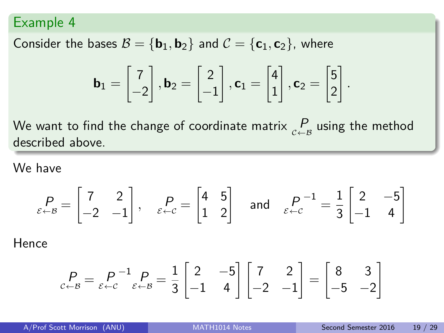Consider the bases  $B = {\bf{b}}_1, {\bf{b}}_2$  and  $C = {\bf{c}}_1, {\bf{c}}_2$ , where

$$
\mathbf{b}_1 = \begin{bmatrix} 7 \\ -2 \end{bmatrix}, \mathbf{b}_2 = \begin{bmatrix} 2 \\ -1 \end{bmatrix}, \mathbf{c}_1 = \begin{bmatrix} 4 \\ 1 \end{bmatrix}, \mathbf{c}_2 = \begin{bmatrix} 5 \\ 2 \end{bmatrix}.
$$

We want to find the change of coordinate matrix  $\mathop{P}\limits_{c \leftarrow B}$  using the method described above.

We have

$$
P_{\varepsilon \leftarrow B} = \begin{bmatrix} 7 & 2 \\ -2 & -1 \end{bmatrix}, \quad P_{\varepsilon \leftarrow C} = \begin{bmatrix} 4 & 5 \\ 1 & 2 \end{bmatrix} \quad \text{and} \quad P_{\varepsilon \leftarrow C}^{-1} = \frac{1}{3} \begin{bmatrix} 2 & -5 \\ -1 & 4 \end{bmatrix}
$$

Hence

$$
\underset{c \leftarrow B}{P} = \underset{\varepsilon \leftarrow c}{P}^{-1} \underset{\varepsilon \leftarrow B}{P} = \frac{1}{3} \begin{bmatrix} 2 & -5 \\ -1 & 4 \end{bmatrix} \begin{bmatrix} 7 & 2 \\ -2 & -1 \end{bmatrix} = \begin{bmatrix} 8 & 3 \\ -5 & -2 \end{bmatrix}
$$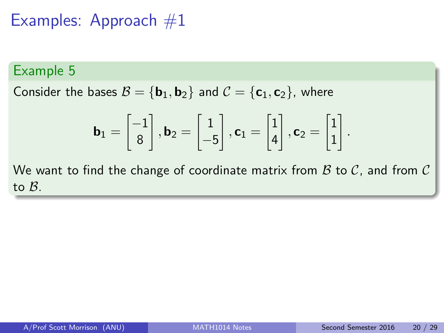### Examples: Approach  $#1$

#### Example 5

Consider the bases  $B = {\bf{b}}_1, {\bf{b}}_2$  and  $C = {\bf{c}}_1, {\bf{c}}_2$ , where

$$
\mathbf{b}_1 = \begin{bmatrix} -1 \\ 8 \end{bmatrix}, \mathbf{b}_2 = \begin{bmatrix} 1 \\ -5 \end{bmatrix}, \mathbf{c}_1 = \begin{bmatrix} 1 \\ 4 \end{bmatrix}, \mathbf{c}_2 = \begin{bmatrix} 1 \\ 1 \end{bmatrix}.
$$

We want to find the change of coordinate matrix from  $B$  to  $C$ , and from  $C$ to B.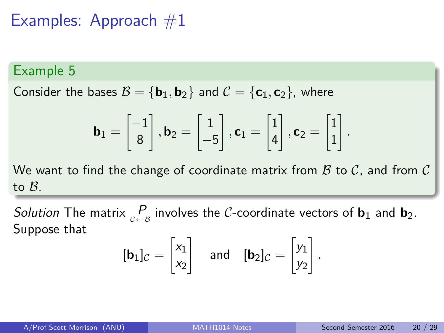### Examples: Approach  $#1$

#### Example 5

Consider the bases  $\mathcal{B} = {\bf{b}}_1, {\bf{b}}_2$  and  $\mathcal{C} = {\bf{c}}_1, {\bf{c}}_2$ , where

$$
\mathbf{b}_1 = \begin{bmatrix} -1 \\ 8 \end{bmatrix}, \mathbf{b}_2 = \begin{bmatrix} 1 \\ -5 \end{bmatrix}, \mathbf{c}_1 = \begin{bmatrix} 1 \\ 4 \end{bmatrix}, \mathbf{c}_2 = \begin{bmatrix} 1 \\ 1 \end{bmatrix}.
$$

We want to find the change of coordinate matrix from  $\mathcal B$  to  $\mathcal C$ , and from  $\mathcal C$ to B.

Solution The matrix  $\underset{c\leftarrow B}{P}$  involves the C-coordinate vectors of **b**<sub>1</sub> and **b**<sub>2</sub>. Suppose that

$$
[\mathbf{b}_1]_C = \begin{bmatrix} x_1 \\ x_2 \end{bmatrix} \quad \text{and} \quad [\mathbf{b}_2]_C = \begin{bmatrix} y_1 \\ y_2 \end{bmatrix}
$$

*.*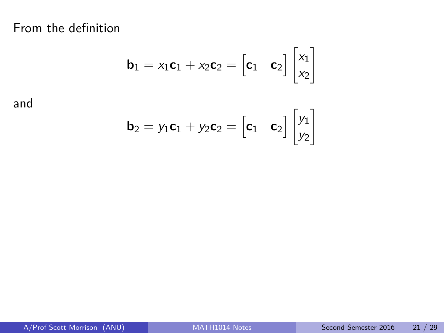From the definition

$$
\mathbf{b}_1 = x_1 \mathbf{c}_1 + x_2 \mathbf{c}_2 = \begin{bmatrix} \mathbf{c}_1 & \mathbf{c}_2 \end{bmatrix} \begin{bmatrix} x_1 \\ x_2 \end{bmatrix}
$$

and

<span id="page-49-0"></span>
$$
\mathbf{b}_2 = y_1 \mathbf{c}_1 + y_2 \mathbf{c}_2 = \begin{bmatrix} \mathbf{c}_1 & \mathbf{c}_2 \end{bmatrix} \begin{bmatrix} y_1 \\ y_2 \end{bmatrix}
$$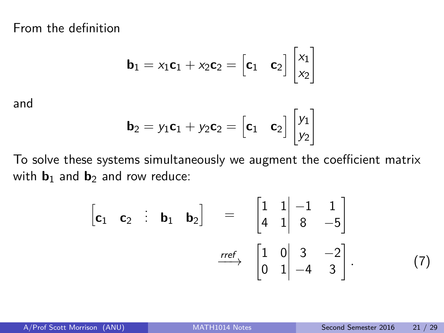From the definition

$$
\mathbf{b}_1 = x_1 \mathbf{c}_1 + x_2 \mathbf{c}_2 = \begin{bmatrix} \mathbf{c}_1 & \mathbf{c}_2 \end{bmatrix} \begin{bmatrix} x_1 \\ x_2 \end{bmatrix}
$$

and

$$
\mathbf{b}_2 = y_1 \mathbf{c}_1 + y_2 \mathbf{c}_2 = \begin{bmatrix} \mathbf{c}_1 & \mathbf{c}_2 \end{bmatrix} \begin{bmatrix} y_1 \\ y_2 \end{bmatrix}
$$

To solve these systems simultaneously we augment the coefficient matrix with  $\mathbf{b}_1$  and  $\mathbf{b}_2$  and row reduce:

$$
\begin{bmatrix} \mathbf{c}_1 & \mathbf{c}_2 & \vdots & \mathbf{b}_1 & \mathbf{b}_2 \end{bmatrix} = \begin{bmatrix} 1 & 1 & -1 & 1 \\ 4 & 1 & 8 & -5 \end{bmatrix}
$$

$$
\xrightarrow{ref} \begin{bmatrix} 1 & 0 & 3 & -2 \\ 0 & 1 & -4 & 3 \end{bmatrix} . \tag{7}
$$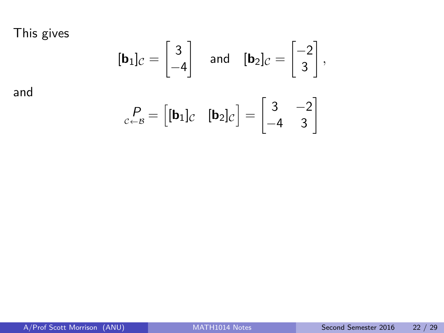This gives

and

$$
[\mathbf{b}_1]_C = \begin{bmatrix} 3 \\ -4 \end{bmatrix} \text{ and } [\mathbf{b}_2]_C = \begin{bmatrix} -2 \\ 3 \end{bmatrix},
$$

$$
{}_{C \leftarrow B}^P = \begin{bmatrix} [\mathbf{b}_1]_C & [\mathbf{b}_2]_C \end{bmatrix} = \begin{bmatrix} 3 & -2 \\ -4 & 3 \end{bmatrix}
$$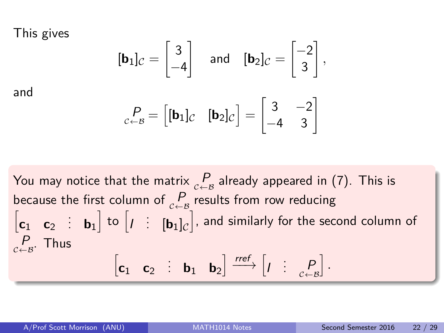This gives

and

$$
[\mathbf{b}_1]_C = \begin{bmatrix} 3 \\ -4 \end{bmatrix} \text{ and } [\mathbf{b}_2]_C = \begin{bmatrix} -2 \\ 3 \end{bmatrix},
$$

$$
{}_{c \leftarrow B}^P = \begin{bmatrix} [\mathbf{b}_1]_C & [\mathbf{b}_2]_C \end{bmatrix} = \begin{bmatrix} 3 & -2 \\ -4 & 3 \end{bmatrix}
$$

You may notice that the matrix  $\mathop{P}\limits_{c \leftarrow B}$  already appeared in [\(7\)](#page-49-0). This is because the first column of  $\mathop{P}\limits_{c \leftarrow B}$  results from row reducing  $\begin{bmatrix} \mathbf{c}_1 & \mathbf{c}_2 & \vdots & \mathbf{b}_1 \end{bmatrix}$  to  $\begin{bmatrix} I & \vdots & \mathbf{[b}_1]_C \end{bmatrix}$ , and similarly for the second column of  $\frac{P}{c \leftarrow B}$ . Thus  $\begin{bmatrix} \mathbf{c}_1 & \mathbf{c}_2 & \mathbf{b}_1 & \mathbf{b}_2 \end{bmatrix} \xrightarrow{rref} \begin{bmatrix} I & \mathbf{c} & P \\ P & \mathbf{c} & \mathbf{c} \end{bmatrix}$ i *.*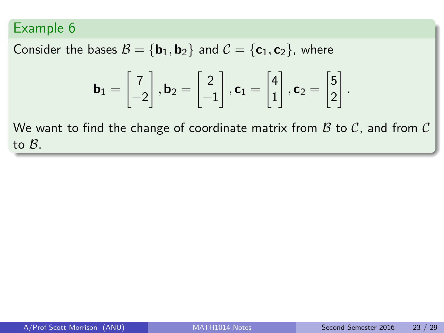Consider the bases  $B = {\bf{b}}_1, {\bf{b}}_2$  and  $C = {\bf{c}}_1, {\bf{c}}_2$ , where

$$
\mathbf{b}_1 = \begin{bmatrix} 7 \\ -2 \end{bmatrix}, \mathbf{b}_2 = \begin{bmatrix} 2 \\ -1 \end{bmatrix}, \mathbf{c}_1 = \begin{bmatrix} 4 \\ 1 \end{bmatrix}, \mathbf{c}_2 = \begin{bmatrix} 5 \\ 2 \end{bmatrix}.
$$

We want to find the change of coordinate matrix from  $B$  to  $C$ , and from  $C$ to B.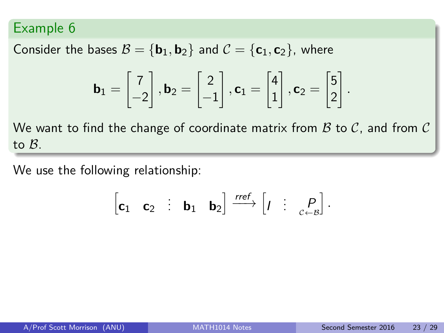Consider the bases  $B = {\bf{b}}_1, {\bf{b}}_2$  and  $C = {\bf{c}}_1, {\bf{c}}_2$ , where

$$
\mathbf{b}_1 = \begin{bmatrix} 7 \\ -2 \end{bmatrix}, \mathbf{b}_2 = \begin{bmatrix} 2 \\ -1 \end{bmatrix}, \mathbf{c}_1 = \begin{bmatrix} 4 \\ 1 \end{bmatrix}, \mathbf{c}_2 = \begin{bmatrix} 5 \\ 2 \end{bmatrix}.
$$

We want to find the change of coordinate matrix from  $B$  to  $C$ , and from  $C$ to B.

We use the following relationship:

$$
\begin{bmatrix} \mathbf{c}_1 & \mathbf{c}_2 & \vdots & \mathbf{b}_1 & \mathbf{b}_2 \end{bmatrix} \xrightarrow{\text{ref}} \begin{bmatrix} I & \vdots & P \\ I & \vdots & \vdots \end{bmatrix}.
$$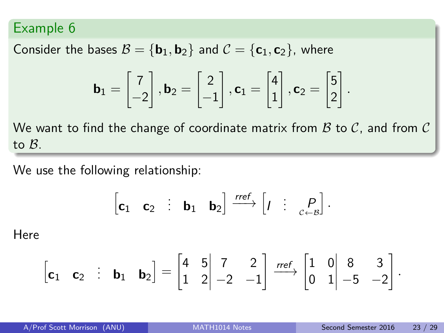Consider the bases  $B = {\bf{b}}_1, {\bf{b}}_2$  and  $C = {\bf{c}}_1, {\bf{c}}_2$ , where

$$
\mathbf{b}_1 = \begin{bmatrix} 7 \\ -2 \end{bmatrix}, \mathbf{b}_2 = \begin{bmatrix} 2 \\ -1 \end{bmatrix}, \mathbf{c}_1 = \begin{bmatrix} 4 \\ 1 \end{bmatrix}, \mathbf{c}_2 = \begin{bmatrix} 5 \\ 2 \end{bmatrix}
$$

We want to find the change of coordinate matrix from  $B$  to  $C$ , and from  $C$ to B.

We use the following relationship:

$$
\begin{bmatrix} \mathbf{c}_1 & \mathbf{c}_2 & \vdots & \mathbf{b}_1 & \mathbf{b}_2 \end{bmatrix} \xrightarrow{\text{rref}} \begin{bmatrix} I & \vdots & P \\ P & \vdots & P \end{bmatrix}.
$$

Here

$$
\begin{bmatrix} \mathbf{c}_1 & \mathbf{c}_2 & \vdots & \mathbf{b}_1 & \mathbf{b}_2 \end{bmatrix} = \begin{bmatrix} 4 & 5 & 7 & 2 \\ 1 & 2 & -2 & -1 \end{bmatrix} \xrightarrow{\text{rref}} \begin{bmatrix} 1 & 0 & 8 & 3 \\ 0 & 1 & -5 & -2 \end{bmatrix}
$$

*.*

*.*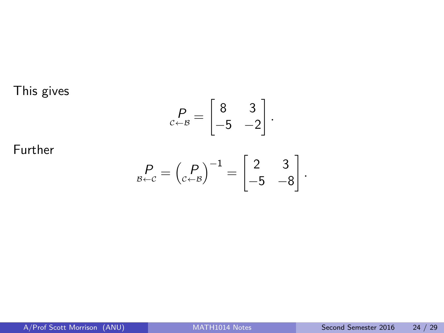This gives

$$
P_{c \leftarrow B} = \begin{bmatrix} 8 & 3 \\ -5 & -2 \end{bmatrix}.
$$

Further

$$
P_{\beta \leftarrow \mathcal{C}} = \begin{pmatrix} P \\ \mathcal{C} \leftarrow \mathcal{B} \end{pmatrix}^{-1} = \begin{bmatrix} 2 & 3 \\ -5 & -8 \end{bmatrix}.
$$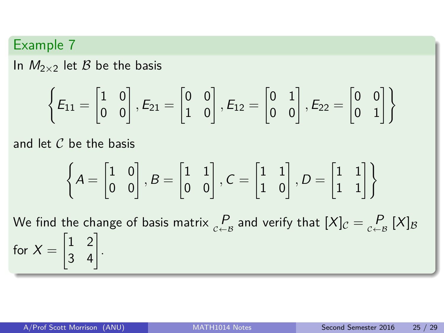In  $M_{2\times2}$  let  $\beta$  be the basis

$$
\left\{E_{11}=\begin{bmatrix}1&0\\0&0\end{bmatrix},E_{21}=\begin{bmatrix}0&0\\1&0\end{bmatrix},E_{12}=\begin{bmatrix}0&1\\0&0\end{bmatrix},E_{22}=\begin{bmatrix}0&0\\0&1\end{bmatrix}\right\}
$$

and let  $C$  be the basis

$$
\left\{ A = \begin{bmatrix} 1 & 0 \\ 0 & 0 \end{bmatrix}, B = \begin{bmatrix} 1 & 1 \\ 0 & 0 \end{bmatrix}, C = \begin{bmatrix} 1 & 1 \\ 1 & 0 \end{bmatrix}, D = \begin{bmatrix} 1 & 1 \\ 1 & 1 \end{bmatrix} \right\}
$$

We find the change of basis matrix  $\mathop{P}\limits_{c \leftarrow B}$  and verify that  $[X]_{\mathcal{C}} = \mathop{P}\limits_{c \leftarrow B} [X]_{\mathcal{B}}$ for  $X =$  $\begin{bmatrix} 1 & 2 \\ 3 & 4 \end{bmatrix}$ .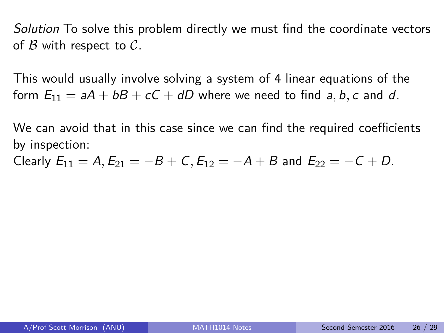Solution To solve this problem directly we must find the coordinate vectors of  $\beta$  with respect to  $\mathcal{C}$ .

This would usually involve solving a system of 4 linear equations of the form  $E_{11} = aA + bB + cC + dD$  where we need to find a, b, c and d.

We can avoid that in this case since we can find the required coefficients by inspection:

Clearly  $E_{11} = A$ ,  $E_{21} = -B + C$ ,  $E_{12} = -A + B$  and  $E_{22} = -C + D$ .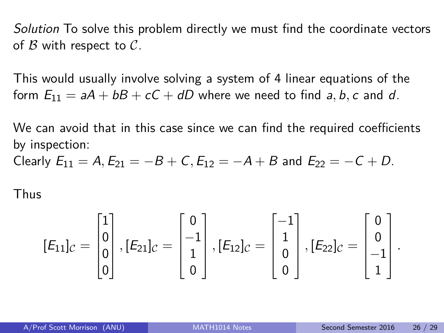Solution To solve this problem directly we must find the coordinate vectors of  $\beta$  with respect to  $\mathcal{C}$ .

This would usually involve solving a system of 4 linear equations of the form  $E_{11} = aA + bB + cC + dD$  where we need to find a, b, c and d.

We can avoid that in this case since we can find the required coefficients by inspection:

Clearly  $E_{11} = A$ ,  $E_{21} = -B + C$ ,  $E_{12} = -A + B$  and  $E_{22} = -C + D$ .

Thus

$$
[E_{11}]_C = \begin{bmatrix} 1 \\ 0 \\ 0 \\ 0 \end{bmatrix}, [E_{21}]_C = \begin{bmatrix} 0 \\ -1 \\ 1 \\ 0 \end{bmatrix}, [E_{12}]_C = \begin{bmatrix} -1 \\ 1 \\ 0 \\ 0 \end{bmatrix}, [E_{22}]_C = \begin{bmatrix} 0 \\ 0 \\ -1 \\ 1 \end{bmatrix}.
$$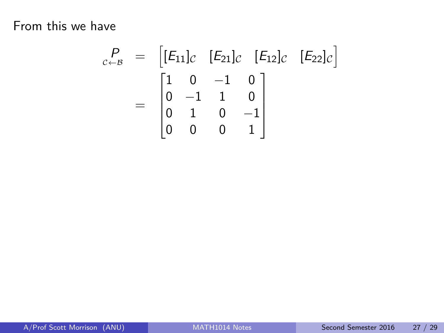From this we have

$$
c_{\leftarrow B}^{P} = \begin{bmatrix} [E_{11}]_C & [E_{21}]_C & [E_{12}]_C & [E_{22}]_C \end{bmatrix}
$$

$$
= \begin{bmatrix} 1 & 0 & -1 & 0 \\ 0 & -1 & 1 & 0 \\ 0 & 1 & 0 & -1 \\ 0 & 0 & 0 & 1 \end{bmatrix}
$$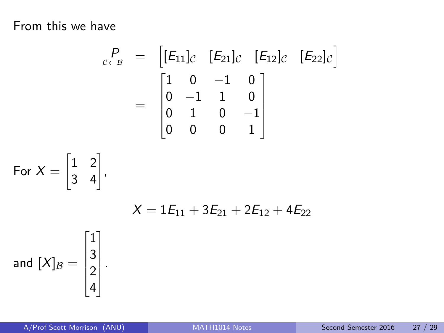From this we have

$$
\begin{array}{rcl}\nP_{c \leftarrow B} & = & \left[ [E_{11}]_C & [E_{21}]_C & [E_{12}]_C & [E_{22}]_C \right] \\
& = & \begin{bmatrix} 1 & 0 & -1 & 0 \\ 0 & -1 & 1 & 0 \\ 0 & 1 & 0 & -1 \\ 0 & 0 & 0 & 1 \end{bmatrix}\n\end{array}
$$

For 
$$
X = \begin{bmatrix} 1 & 2 \\ 3 & 4 \end{bmatrix}
$$
,  
\n
$$
X = 1E_{11} + 3E_{21} + 2E_{12}
$$
\nand  $[X]_B = \begin{bmatrix} 1 \\ 3 \\ 2 \\ 4 \end{bmatrix}$ .

 $+ 4E_{22}$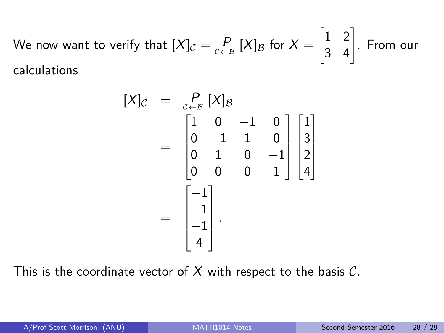We now want to verify that  $[X]_{\mathcal{C}}=\mathop{P}\limits_{\mathcal{C}\leftarrow \mathcal{B}}[X]_{\mathcal{B}}$  for  $X=$  $\begin{bmatrix} 1 & 2 \\ 3 & 4 \end{bmatrix}$ . From our calculations

$$
[X]_{\mathcal{C}} = \begin{bmatrix} P \\ C \\ C \end{bmatrix} \begin{bmatrix} X \end{bmatrix} \mathcal{B}
$$
  
= 
$$
\begin{bmatrix} 1 & 0 & -1 & 0 \\ 0 & -1 & 1 & 0 \\ 0 & 1 & 0 & -1 \\ 0 & 0 & 0 & 1 \end{bmatrix} \begin{bmatrix} 1 \\ 3 \\ 2 \\ 4 \end{bmatrix}
$$
  
= 
$$
\begin{bmatrix} -1 \\ -1 \\ -1 \\ 4 \end{bmatrix}.
$$

This is the coordinate vector of  $X$  with respect to the basis  $C$ .